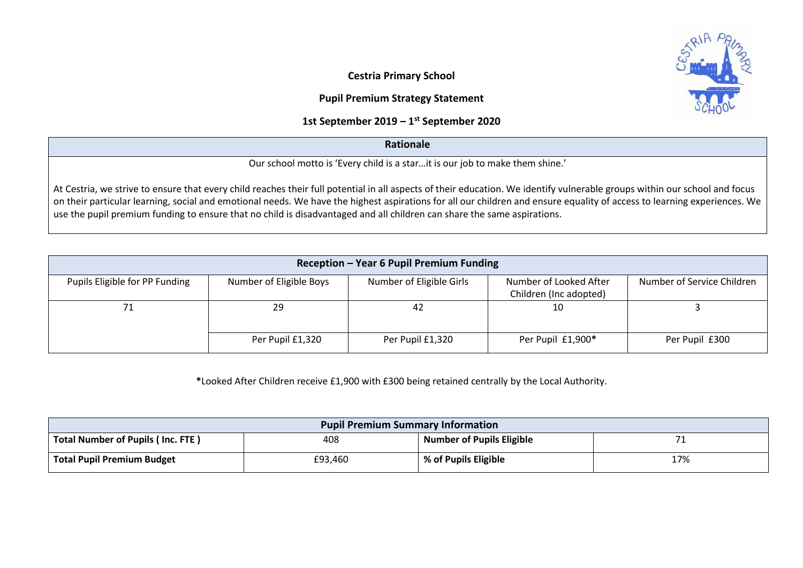**Cestria Primary School** 

## **Pupil Premium Strategy Statement**

## **1st September 2019 – 1 st September 2020**

## **Rationale**

Our school motto is 'Every child is a star…it is our job to make them shine.'

At Cestria, we strive to ensure that every child reaches their full potential in all aspects of their education. We identify vulnerable groups within our school and focus on their particular learning, social and emotional needs. We have the highest aspirations for all our children and ensure equality of access to learning experiences. We use the pupil premium funding to ensure that no child is disadvantaged and all children can share the same aspirations.

| Reception - Year 6 Pupil Premium Funding |                         |                          |                                                  |                            |  |  |  |  |  |
|------------------------------------------|-------------------------|--------------------------|--------------------------------------------------|----------------------------|--|--|--|--|--|
| Pupils Eligible for PP Funding           | Number of Eligible Boys | Number of Eligible Girls | Number of Looked After<br>Children (Inc adopted) | Number of Service Children |  |  |  |  |  |
| 71                                       | 29                      | 42                       | 10                                               |                            |  |  |  |  |  |
|                                          | Per Pupil £1,320        | Per Pupil £1,320         | Per Pupil £1,900*                                | Per Pupil £300             |  |  |  |  |  |

**\***Looked After Children receive £1,900 with £300 being retained centrally by the Local Authority.

| <b>Pupil Premium Summary Information</b> |         |                                  |     |  |  |
|------------------------------------------|---------|----------------------------------|-----|--|--|
| Total Number of Pupils (Inc. FTE)        | 408     | <b>Number of Pupils Eligible</b> |     |  |  |
| <b>Total Pupil Premium Budget</b>        | £93,460 | % of Pupils Eligible             | 17% |  |  |

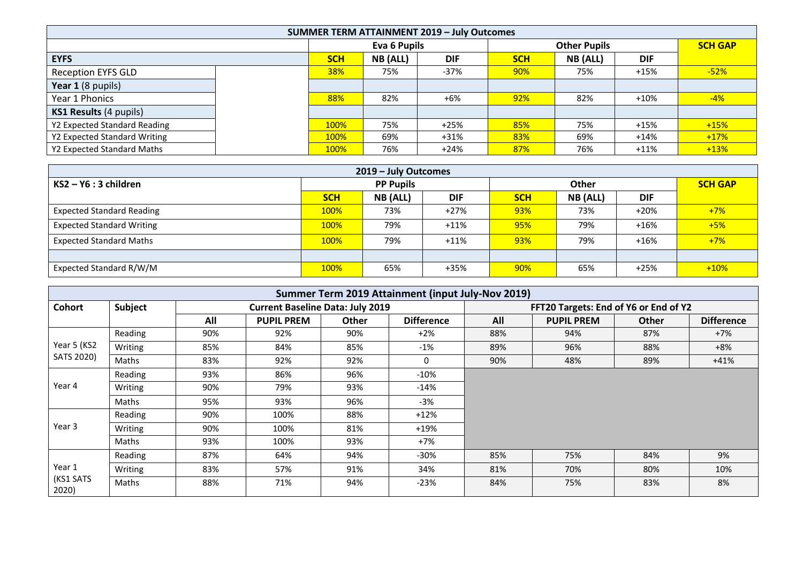| <b>SUMMER TERM ATTAINMENT 2019 - July Outcomes</b> |  |              |          |            |                     |          |            |                |
|----------------------------------------------------|--|--------------|----------|------------|---------------------|----------|------------|----------------|
|                                                    |  | Eva 6 Pupils |          |            | <b>Other Pupils</b> |          |            | <b>SCH GAP</b> |
| <b>EYFS</b>                                        |  | <b>SCH</b>   | NB (ALL) | <b>DIF</b> | <b>SCH</b>          | NB (ALL) | <b>DIF</b> |                |
| <b>Reception EYFS GLD</b>                          |  | 38%          | 75%      | $-37%$     | 90%                 | 75%      | $+15%$     | $-52%$         |
| Year 1 (8 pupils)                                  |  |              |          |            |                     |          |            |                |
| Year 1 Phonics                                     |  | 88%          | 82%      | $+6%$      | 92%                 | 82%      | $+10%$     | $-4%$          |
| KS1 Results (4 pupils)                             |  |              |          |            |                     |          |            |                |
| Y2 Expected Standard Reading                       |  | 100%         | 75%      | $+25%$     | 85%                 | 75%      | $+15%$     | $+15%$         |
| Y2 Expected Standard Writing                       |  | 100%         | 69%      | $+31%$     | 83%                 | 69%      | $+14%$     | $+17%$         |
| Y2 Expected Standard Maths                         |  | 100%         | 76%      | $+24%$     | 87%                 | 76%      | $+11%$     | $+13%$         |

| 2019 - July Outcomes             |                  |                 |            |            |          |            |                |  |  |  |
|----------------------------------|------------------|-----------------|------------|------------|----------|------------|----------------|--|--|--|
| $KS2 - Y6:3$ children            | <b>PP Pupils</b> |                 |            | Other      |          |            | <b>SCH GAP</b> |  |  |  |
|                                  | <b>SCH</b>       | <b>NB (ALL)</b> | <b>DIF</b> | <b>SCH</b> | NB (ALL) | <b>DIF</b> |                |  |  |  |
| <b>Expected Standard Reading</b> | 100%             | 73%             | $+27%$     | 93%        | 73%      | $+20%$     | $+7%$          |  |  |  |
| <b>Expected Standard Writing</b> | 100%             | 79%             | $+11%$     | 95%        | 79%      | $+16%$     | $+5%$          |  |  |  |
| <b>Expected Standard Maths</b>   | 100%             | 79%             | $+11%$     | 93%        | 79%      | $+16%$     | $+7%$          |  |  |  |
|                                  |                  |                 |            |            |          |            |                |  |  |  |
| Expected Standard R/W/M          | 100%             | 65%             | $+35%$     | 90%        | 65%      | $+25%$     | $+10%$         |  |  |  |

|                    | Summer Term 2019 Attainment (input July-Nov 2019) |     |                                         |       |                   |                                       |                   |              |                   |
|--------------------|---------------------------------------------------|-----|-----------------------------------------|-------|-------------------|---------------------------------------|-------------------|--------------|-------------------|
| Cohort             | Subject                                           |     | <b>Current Baseline Data: July 2019</b> |       |                   | FFT20 Targets: End of Y6 or End of Y2 |                   |              |                   |
|                    |                                                   | All | <b>PUPIL PREM</b>                       | Other | <b>Difference</b> | All                                   | <b>PUPIL PREM</b> | <b>Other</b> | <b>Difference</b> |
|                    | Reading                                           | 90% | 92%                                     | 90%   | $+2\%$            | 88%                                   | 94%               | 87%          | $+7%$             |
| Year 5 (KS2        | Writing                                           | 85% | 84%                                     | 85%   | $-1\%$            | 89%                                   | 96%               | 88%          | +8%               |
| SATS 2020)         | Maths                                             | 83% | 92%                                     | 92%   | $\Omega$          | 90%                                   | 48%               | 89%          | $+41%$            |
|                    | Reading                                           | 93% | 86%                                     | 96%   | $-10%$            |                                       |                   |              |                   |
| Year 4             | Writing                                           | 90% | 79%                                     | 93%   | $-14%$            |                                       |                   |              |                   |
|                    | Maths                                             | 95% | 93%                                     | 96%   | -3%               |                                       |                   |              |                   |
|                    | Reading                                           | 90% | 100%                                    | 88%   | $+12%$            |                                       |                   |              |                   |
| Year 3             | Writing                                           | 90% | 100%                                    | 81%   | $+19%$            |                                       |                   |              |                   |
|                    | Maths                                             | 93% | 100%                                    | 93%   | $+7%$             |                                       |                   |              |                   |
|                    | Reading                                           | 87% | 64%                                     | 94%   | $-30\%$           | 85%                                   | 75%               | 84%          | 9%                |
| Year 1             | Writing                                           | 83% | 57%                                     | 91%   | 34%               | 81%                                   | 70%               | 80%          | 10%               |
| (KS1 SATS<br>2020) | Maths                                             | 88% | 71%                                     | 94%   | $-23%$            | 84%                                   | 75%               | 83%          | 8%                |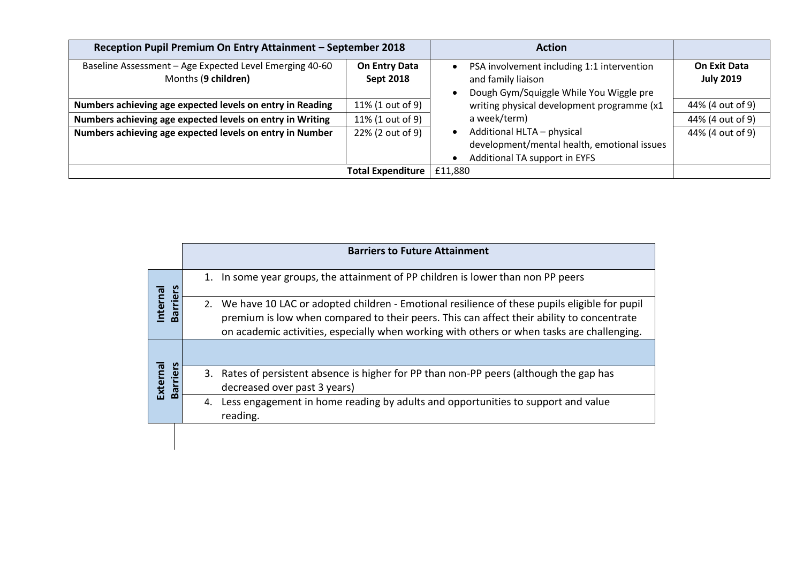| Reception Pupil Premium On Entry Attainment - September 2018                   | <b>Action</b>                     |                                                                                                             |                                  |
|--------------------------------------------------------------------------------|-----------------------------------|-------------------------------------------------------------------------------------------------------------|----------------------------------|
| Baseline Assessment - Age Expected Level Emerging 40-60<br>Months (9 children) | On Entry Data<br><b>Sept 2018</b> | PSA involvement including 1:1 intervention<br>and family liaison<br>Dough Gym/Squiggle While You Wiggle pre | On Exit Data<br><b>July 2019</b> |
| Numbers achieving age expected levels on entry in Reading                      | 11% (1 out of 9)                  | writing physical development programme (x1                                                                  | 44% (4 out of 9)                 |
| Numbers achieving age expected levels on entry in Writing                      | 11% (1 out of 9)                  | a week/term)                                                                                                | 44% (4 out of 9)                 |
| Numbers achieving age expected levels on entry in Number                       | 22% (2 out of 9)                  | Additional HLTA - physical<br>development/mental health, emotional issues<br>Additional TA support in EYFS  | 44% (4 out of 9)                 |
|                                                                                | <b>Total Expenditure</b>          | £11,880                                                                                                     |                                  |

|                             | <b>Barriers to Future Attainment</b>                                                                                                                                                                                                                                                          |
|-----------------------------|-----------------------------------------------------------------------------------------------------------------------------------------------------------------------------------------------------------------------------------------------------------------------------------------------|
|                             | In some year groups, the attainment of PP children is lower than non PP peers<br>1.                                                                                                                                                                                                           |
| Barriers<br>nternal         | We have 10 LAC or adopted children - Emotional resilience of these pupils eligible for pupil<br>2.<br>premium is low when compared to their peers. This can affect their ability to concentrate<br>on academic activities, especially when working with others or when tasks are challenging. |
|                             |                                                                                                                                                                                                                                                                                               |
| External<br><b>Barriers</b> | 3. Rates of persistent absence is higher for PP than non-PP peers (although the gap has<br>decreased over past 3 years)                                                                                                                                                                       |
|                             | Less engagement in home reading by adults and opportunities to support and value<br>4.<br>reading.                                                                                                                                                                                            |
|                             |                                                                                                                                                                                                                                                                                               |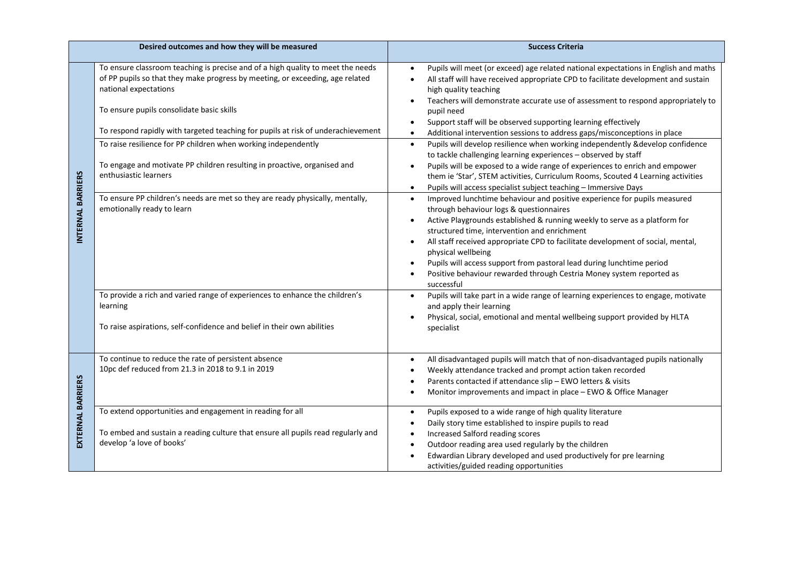|                          | Desired outcomes and how they will be measured                                                                                                                                            | <b>Success Criteria</b>                                                                                                                                                                                                                                                                                                                                                                                                                                                                                                                                          |
|--------------------------|-------------------------------------------------------------------------------------------------------------------------------------------------------------------------------------------|------------------------------------------------------------------------------------------------------------------------------------------------------------------------------------------------------------------------------------------------------------------------------------------------------------------------------------------------------------------------------------------------------------------------------------------------------------------------------------------------------------------------------------------------------------------|
|                          | To ensure classroom teaching is precise and of a high quality to meet the needs<br>of PP pupils so that they make progress by meeting, or exceeding, age related<br>national expectations | Pupils will meet (or exceed) age related national expectations in English and maths<br>All staff will have received appropriate CPD to facilitate development and sustain<br>$\bullet$<br>high quality teaching<br>Teachers will demonstrate accurate use of assessment to respond appropriately to                                                                                                                                                                                                                                                              |
|                          | To ensure pupils consolidate basic skills<br>To respond rapidly with targeted teaching for pupils at risk of underachievement                                                             | pupil need<br>Support staff will be observed supporting learning effectively<br>Additional intervention sessions to address gaps/misconceptions in place                                                                                                                                                                                                                                                                                                                                                                                                         |
|                          | To raise resilience for PP children when working independently                                                                                                                            | Pupils will develop resilience when working independently &develop confidence<br>$\bullet$<br>to tackle challenging learning experiences - observed by staff                                                                                                                                                                                                                                                                                                                                                                                                     |
|                          | To engage and motivate PP children resulting in proactive, organised and<br>enthusiastic learners                                                                                         | Pupils will be exposed to a wide range of experiences to enrich and empower<br>them ie 'Star', STEM activities, Curriculum Rooms, Scouted 4 Learning activities<br>Pupils will access specialist subject teaching - Immersive Days<br>$\bullet$                                                                                                                                                                                                                                                                                                                  |
| NTERNAL BARRIERS         | To ensure PP children's needs are met so they are ready physically, mentally,<br>emotionally ready to learn                                                                               | Improved lunchtime behaviour and positive experience for pupils measured<br>$\bullet$<br>through behaviour logs & questionnaires<br>Active Playgrounds established & running weekly to serve as a platform for<br>structured time, intervention and enrichment<br>All staff received appropriate CPD to facilitate development of social, mental,<br>$\bullet$<br>physical wellbeing<br>Pupils will access support from pastoral lead during lunchtime period<br>$\bullet$<br>Positive behaviour rewarded through Cestria Money system reported as<br>successful |
|                          | To provide a rich and varied range of experiences to enhance the children's<br>learning<br>To raise aspirations, self-confidence and belief in their own abilities                        | Pupils will take part in a wide range of learning experiences to engage, motivate<br>$\bullet$<br>and apply their learning<br>Physical, social, emotional and mental wellbeing support provided by HLTA<br>specialist                                                                                                                                                                                                                                                                                                                                            |
|                          | To continue to reduce the rate of persistent absence<br>10pc def reduced from 21.3 in 2018 to 9.1 in 2019                                                                                 | All disadvantaged pupils will match that of non-disadvantaged pupils nationally<br>$\bullet$<br>Weekly attendance tracked and prompt action taken recorded<br>Parents contacted if attendance slip - EWO letters & visits<br>Monitor improvements and impact in place - EWO & Office Manager                                                                                                                                                                                                                                                                     |
| <b>EXTERNAL BARRIERS</b> | To extend opportunities and engagement in reading for all<br>To embed and sustain a reading culture that ensure all pupils read regularly and<br>develop 'a love of books'                | Pupils exposed to a wide range of high quality literature<br>$\bullet$<br>Daily story time established to inspire pupils to read<br>Increased Salford reading scores<br>Outdoor reading area used regularly by the children<br>$\bullet$<br>Edwardian Library developed and used productively for pre learning<br>activities/guided reading opportunities                                                                                                                                                                                                        |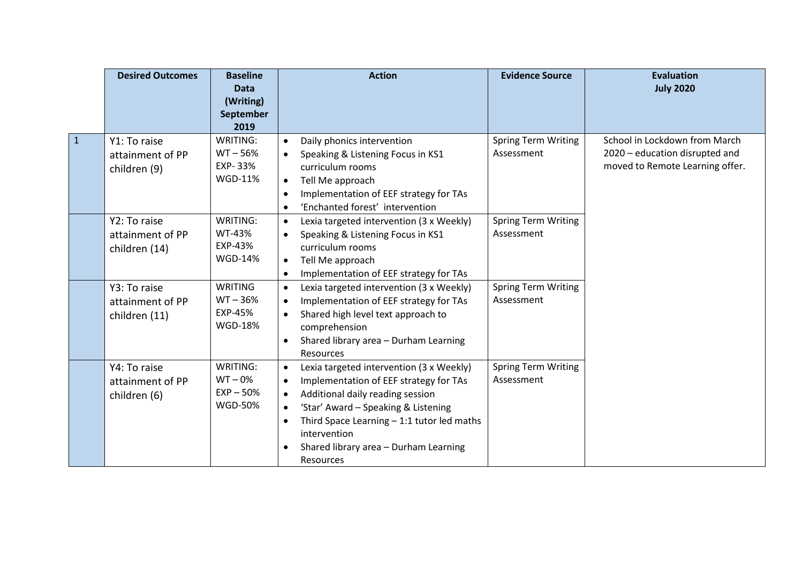|              | <b>Desired Outcomes</b>                           | <b>Baseline</b><br><b>Data</b><br>(Writing)<br>September<br>2019 | <b>Action</b>                                                                                                                                                                                                                                                                                                       | <b>Evidence Source</b>                   | <b>Evaluation</b><br><b>July 2020</b>                                                              |
|--------------|---------------------------------------------------|------------------------------------------------------------------|---------------------------------------------------------------------------------------------------------------------------------------------------------------------------------------------------------------------------------------------------------------------------------------------------------------------|------------------------------------------|----------------------------------------------------------------------------------------------------|
| $\mathbf{1}$ | Y1: To raise<br>attainment of PP<br>children (9)  | WRITING:<br>$WT - 56%$<br>EXP-33%<br><b>WGD-11%</b>              | Daily phonics intervention<br>$\bullet$<br>Speaking & Listening Focus in KS1<br>curriculum rooms<br>Tell Me approach<br>$\bullet$<br>Implementation of EEF strategy for TAs<br>$\bullet$<br>'Enchanted forest' intervention<br>$\bullet$                                                                            | <b>Spring Term Writing</b><br>Assessment | School in Lockdown from March<br>2020 - education disrupted and<br>moved to Remote Learning offer. |
|              | Y2: To raise<br>attainment of PP<br>children (14) | WRITING:<br>WT-43%<br>EXP-43%<br><b>WGD-14%</b>                  | Lexia targeted intervention (3 x Weekly)<br>$\bullet$<br>Speaking & Listening Focus in KS1<br>curriculum rooms<br>Tell Me approach<br>$\bullet$<br>Implementation of EEF strategy for TAs<br>$\bullet$                                                                                                              | <b>Spring Term Writing</b><br>Assessment |                                                                                                    |
|              | Y3: To raise<br>attainment of PP<br>children (11) | <b>WRITING</b><br>$WT - 36%$<br>EXP-45%<br><b>WGD-18%</b>        | Lexia targeted intervention (3 x Weekly)<br>$\bullet$<br>Implementation of EEF strategy for TAs<br>$\bullet$<br>Shared high level text approach to<br>comprehension<br>Shared library area - Durham Learning<br>Resources                                                                                           | <b>Spring Term Writing</b><br>Assessment |                                                                                                    |
|              | Y4: To raise<br>attainment of PP<br>children (6)  | WRITING:<br>$WT - 0%$<br>$EXP - 50%$<br><b>WGD-50%</b>           | Lexia targeted intervention (3 x Weekly)<br>$\bullet$<br>Implementation of EEF strategy for TAs<br>$\bullet$<br>Additional daily reading session<br>'Star' Award - Speaking & Listening<br>Third Space Learning $-1:1$ tutor led maths<br>intervention<br>Shared library area - Durham Learning<br><b>Resources</b> | <b>Spring Term Writing</b><br>Assessment |                                                                                                    |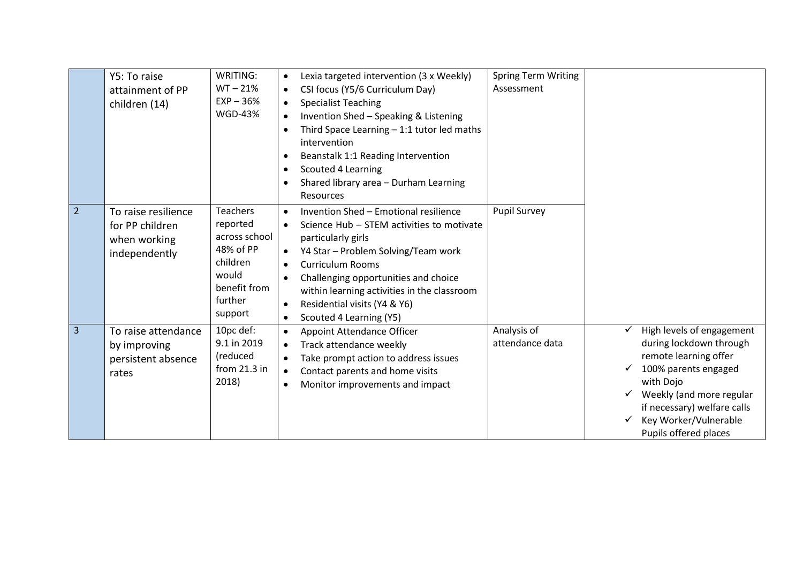|                | Y5: To raise<br>attainment of PP<br>children (14)                       | WRITING:<br>$WT - 21%$<br>$EXP - 36%$<br><b>WGD-43%</b>                                                              | Lexia targeted intervention (3 x Weekly)<br>$\bullet$<br>CSI focus (Y5/6 Curriculum Day)<br>$\bullet$<br><b>Specialist Teaching</b><br>Invention Shed - Speaking & Listening<br>Third Space Learning $-1:1$ tutor led maths<br>$\bullet$<br>intervention<br>Beanstalk 1:1 Reading Intervention<br>$\bullet$<br>Scouted 4 Learning<br>$\bullet$<br>Shared library area - Durham Learning<br><b>Resources</b> | <b>Spring Term Writing</b><br>Assessment |                                                                                                                                                                                                                                 |
|----------------|-------------------------------------------------------------------------|----------------------------------------------------------------------------------------------------------------------|-------------------------------------------------------------------------------------------------------------------------------------------------------------------------------------------------------------------------------------------------------------------------------------------------------------------------------------------------------------------------------------------------------------|------------------------------------------|---------------------------------------------------------------------------------------------------------------------------------------------------------------------------------------------------------------------------------|
| $\overline{2}$ | To raise resilience<br>for PP children<br>when working<br>independently | <b>Teachers</b><br>reported<br>across school<br>48% of PP<br>children<br>would<br>benefit from<br>further<br>support | Invention Shed - Emotional resilience<br>Science Hub - STEM activities to motivate<br>particularly girls<br>Y4 Star - Problem Solving/Team work<br><b>Curriculum Rooms</b><br>$\bullet$<br>Challenging opportunities and choice<br>$\bullet$<br>within learning activities in the classroom<br>Residential visits (Y4 & Y6)<br>$\bullet$<br>Scouted 4 Learning (Y5)<br>$\bullet$                            | <b>Pupil Survey</b>                      |                                                                                                                                                                                                                                 |
| $\overline{3}$ | To raise attendance<br>by improving<br>persistent absence<br>rates      | 10pc def:<br>9.1 in 2019<br>(reduced<br>from 21.3 in<br>2018)                                                        | Appoint Attendance Officer<br>$\bullet$<br>Track attendance weekly<br>$\bullet$<br>Take prompt action to address issues<br>$\bullet$<br>Contact parents and home visits<br>$\bullet$<br>Monitor improvements and impact<br>$\bullet$                                                                                                                                                                        | Analysis of<br>attendance data           | High levels of engagement<br>during lockdown through<br>remote learning offer<br>100% parents engaged<br>with Dojo<br>Weekly (and more regular<br>if necessary) welfare calls<br>Key Worker/Vulnerable<br>Pupils offered places |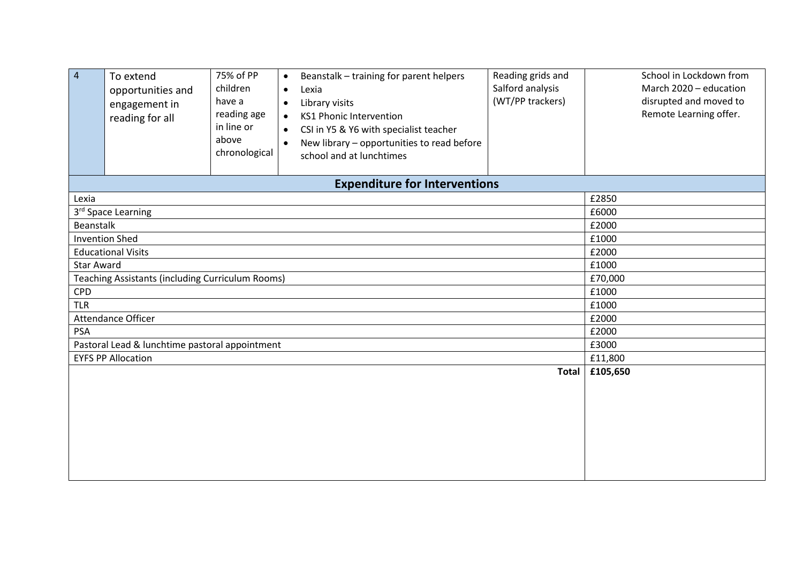| $\overline{4}$    | To extend<br>opportunities and<br>engagement in<br>reading for all | 75% of PP<br>children<br>have a<br>reading age<br>in line or<br>above<br>chronological | Beanstalk - training for parent helpers<br>$\bullet$<br>Lexia<br>$\bullet$<br>Library visits<br>$\bullet$<br><b>KS1 Phonic Intervention</b><br>$\bullet$<br>CSI in Y5 & Y6 with specialist teacher<br>$\bullet$<br>New library - opportunities to read before<br>$\bullet$<br>school and at lunchtimes | Reading grids and<br>Salford analysis<br>(WT/PP trackers) | School in Lockdown from<br>March 2020 - education<br>disrupted and moved to<br>Remote Learning offer. |  |  |  |  |  |
|-------------------|--------------------------------------------------------------------|----------------------------------------------------------------------------------------|--------------------------------------------------------------------------------------------------------------------------------------------------------------------------------------------------------------------------------------------------------------------------------------------------------|-----------------------------------------------------------|-------------------------------------------------------------------------------------------------------|--|--|--|--|--|
|                   |                                                                    |                                                                                        | <b>Expenditure for Interventions</b>                                                                                                                                                                                                                                                                   |                                                           |                                                                                                       |  |  |  |  |  |
| Lexia             | £2850                                                              |                                                                                        |                                                                                                                                                                                                                                                                                                        |                                                           |                                                                                                       |  |  |  |  |  |
|                   | 3rd Space Learning                                                 |                                                                                        |                                                                                                                                                                                                                                                                                                        |                                                           | £6000                                                                                                 |  |  |  |  |  |
| Beanstalk         |                                                                    |                                                                                        |                                                                                                                                                                                                                                                                                                        |                                                           | £2000                                                                                                 |  |  |  |  |  |
|                   | <b>Invention Shed</b>                                              |                                                                                        |                                                                                                                                                                                                                                                                                                        |                                                           | £1000                                                                                                 |  |  |  |  |  |
|                   | <b>Educational Visits</b>                                          |                                                                                        |                                                                                                                                                                                                                                                                                                        |                                                           | £2000                                                                                                 |  |  |  |  |  |
| <b>Star Award</b> |                                                                    |                                                                                        |                                                                                                                                                                                                                                                                                                        |                                                           | £1000                                                                                                 |  |  |  |  |  |
|                   | Teaching Assistants (including Curriculum Rooms)                   |                                                                                        |                                                                                                                                                                                                                                                                                                        |                                                           | £70,000                                                                                               |  |  |  |  |  |
| <b>CPD</b>        |                                                                    |                                                                                        |                                                                                                                                                                                                                                                                                                        |                                                           | £1000                                                                                                 |  |  |  |  |  |
| <b>TLR</b>        |                                                                    |                                                                                        |                                                                                                                                                                                                                                                                                                        |                                                           | £1000                                                                                                 |  |  |  |  |  |
|                   | Attendance Officer                                                 |                                                                                        |                                                                                                                                                                                                                                                                                                        |                                                           | £2000                                                                                                 |  |  |  |  |  |
| <b>PSA</b>        |                                                                    |                                                                                        |                                                                                                                                                                                                                                                                                                        |                                                           | £2000                                                                                                 |  |  |  |  |  |
|                   | Pastoral Lead & lunchtime pastoral appointment                     |                                                                                        |                                                                                                                                                                                                                                                                                                        |                                                           | £3000                                                                                                 |  |  |  |  |  |
|                   | <b>EYFS PP Allocation</b>                                          |                                                                                        |                                                                                                                                                                                                                                                                                                        |                                                           | £11,800                                                                                               |  |  |  |  |  |
|                   |                                                                    |                                                                                        |                                                                                                                                                                                                                                                                                                        | <b>Total</b>                                              | £105,650                                                                                              |  |  |  |  |  |
|                   |                                                                    |                                                                                        |                                                                                                                                                                                                                                                                                                        |                                                           |                                                                                                       |  |  |  |  |  |
|                   |                                                                    |                                                                                        |                                                                                                                                                                                                                                                                                                        |                                                           |                                                                                                       |  |  |  |  |  |
|                   |                                                                    |                                                                                        |                                                                                                                                                                                                                                                                                                        |                                                           |                                                                                                       |  |  |  |  |  |
|                   |                                                                    |                                                                                        |                                                                                                                                                                                                                                                                                                        |                                                           |                                                                                                       |  |  |  |  |  |
|                   |                                                                    |                                                                                        |                                                                                                                                                                                                                                                                                                        |                                                           |                                                                                                       |  |  |  |  |  |
|                   |                                                                    |                                                                                        |                                                                                                                                                                                                                                                                                                        |                                                           |                                                                                                       |  |  |  |  |  |
|                   |                                                                    |                                                                                        |                                                                                                                                                                                                                                                                                                        |                                                           |                                                                                                       |  |  |  |  |  |